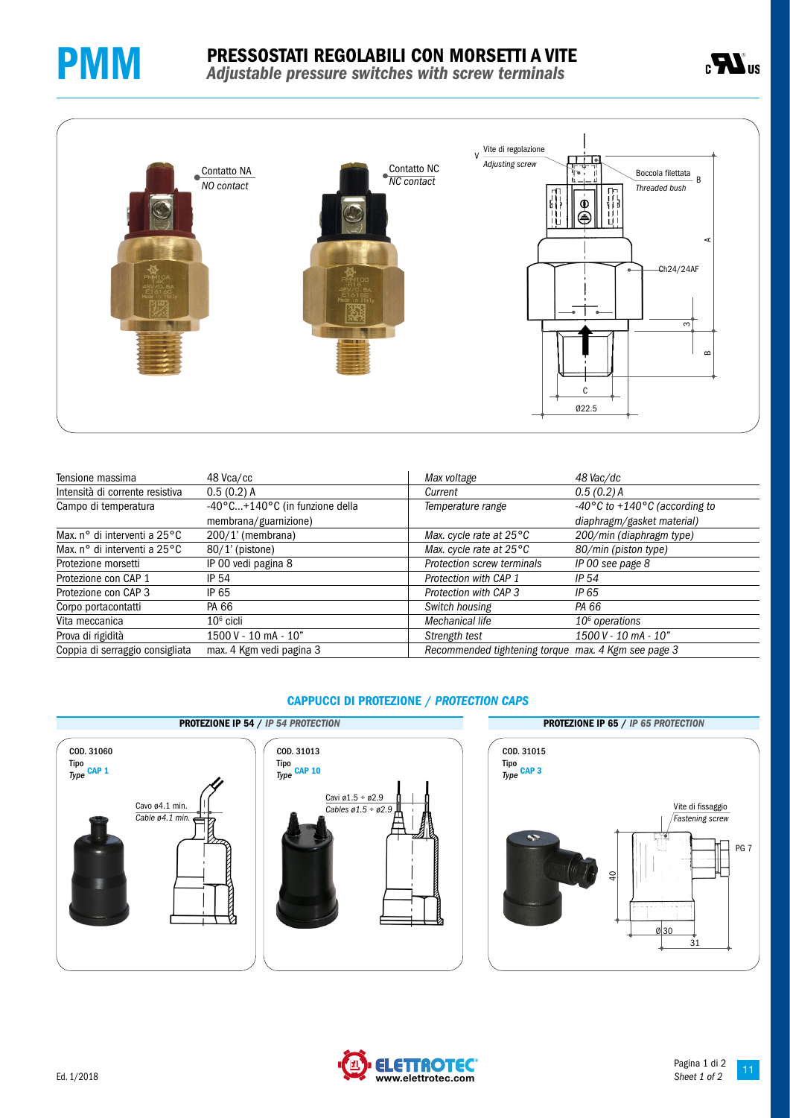





| Tensione massima                | 48 Vca/cc                      | Max voltage                                         | 48 Vac/dc                                         |
|---------------------------------|--------------------------------|-----------------------------------------------------|---------------------------------------------------|
| Intensità di corrente resistiva | $0.5(0.2)$ A                   | Current                                             | 0.5(0.2)A                                         |
| Campo di temperatura            | -40°C+140°C (in funzione della | Temperature range                                   | -40 $\degree$ C to +140 $\degree$ C (according to |
|                                 | membrana/guarnizione)          |                                                     | diaphragm/gasket material)                        |
| Max, n° di interventi a 25°C    | $200/1'$ (membrana)            | Max. cycle rate at $25^{\circ}$ C                   | 200/min (diaphragm type)                          |
| Max, n° di interventi a 25°C    | $80/1'$ (pistone)              | Max. cycle rate at $25^{\circ}$ C                   | 80/min (piston type)                              |
| Protezione morsetti             | IP 00 vedi pagina 8            | Protection screw terminals                          | IP 00 see page 8                                  |
| Protezione con CAP 1            | IP 54                          | Protection with CAP 1                               | IP $54$                                           |
| Protezione con CAP 3            | IP 65                          | Protection with CAP 3                               | IP 65                                             |
| Corpo portacontatti             | PA 66                          | Switch housing                                      | PA 66                                             |
| Vita meccanica                  | $106$ cicli                    | Mechanical life                                     | $106$ operations                                  |
| Prova di rigidità               | $1500V - 10mA - 10"$           | Strength test                                       | $1500$ V - 10 mA - 10"                            |
| Coppia di serraggio consigliata | max. 4 Kgm vedi pagina 3       | Recommended tightening torque max. 4 Kgm see page 3 |                                                   |

# PROTEZIONE IP 54 / *IP 54 PROTECTION* PROTEZIONE IP 65 / *IP 65 PROTECTION* COD. 31060 Tipo *Type* CAP 1 Cavo ø4.1 min. *Cable ø4.1 min.* COD. 31013 Tipo *Type* CAP 10 Cavi ø1.5 ÷ ø2.9 *Cables ø1.5 ÷ ø2.9*

### CAPPUCCI DI PROTEZIONE / *PROTECTION CAPS*



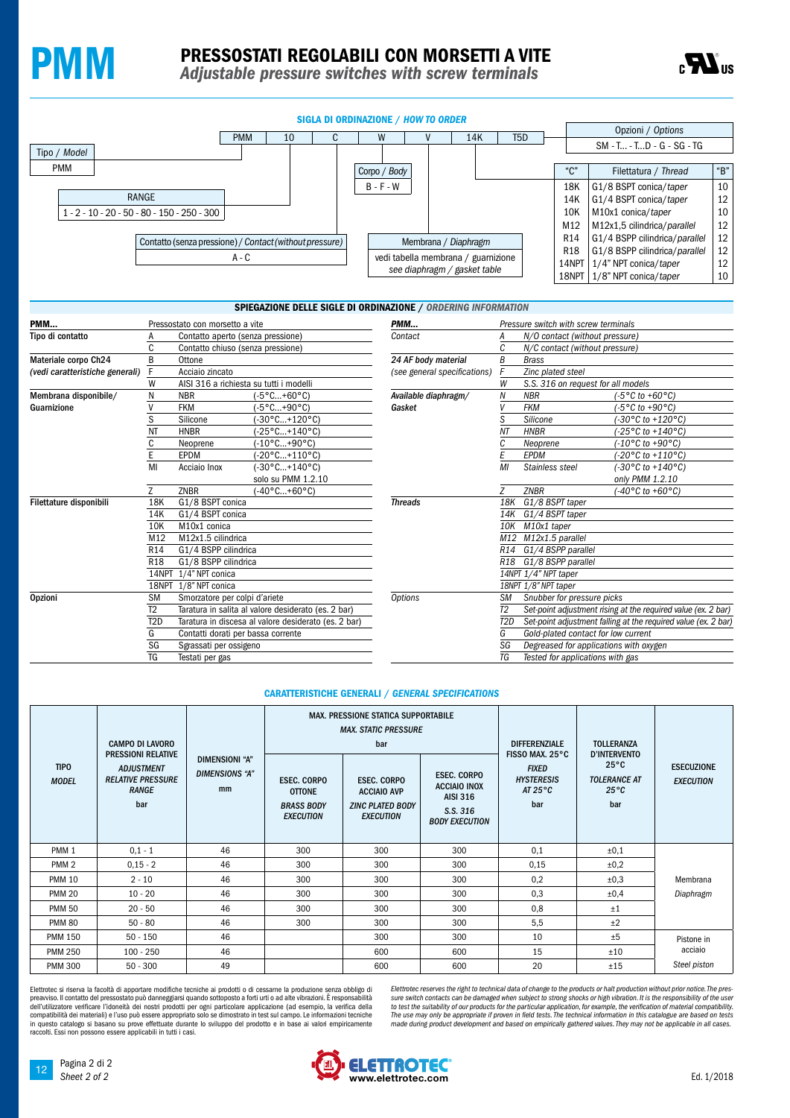



SIGLA DI ORDINAZIONE / *HOW TO ORDER* PMM 10 C W V 14K T5D Opzioni / *Options*

|                                                                  |       |  |  |                      |                                                                     |              |  |                 |                               |                               | SM - T - TD - G - SG - TG     |                  |
|------------------------------------------------------------------|-------|--|--|----------------------|---------------------------------------------------------------------|--------------|--|-----------------|-------------------------------|-------------------------------|-------------------------------|------------------|
| Tipo / <i>Model</i>                                              |       |  |  |                      |                                                                     |              |  |                 |                               |                               |                               |                  |
| <b>PMM</b>                                                       |       |  |  |                      |                                                                     | Corpo / Body |  |                 |                               | $^{\mu}$ $\cap$               | Filettatura / Thread          | $\mathrm{``B''}$ |
|                                                                  |       |  |  |                      |                                                                     | $B - F - W$  |  |                 |                               | 18K                           | G1/8 BSPT conica/taper        | 10               |
|                                                                  | RANGE |  |  |                      |                                                                     |              |  |                 |                               | 14K                           | G1/4 BSPT conica/taper        | 12               |
| $1 - 2 - 10 - 20 - 50 - 80 - 150 - 250 - 300$                    |       |  |  |                      |                                                                     |              |  |                 | 10K                           | M10x1 conica/taper            | 10                            |                  |
|                                                                  |       |  |  |                      |                                                                     |              |  |                 |                               | M12                           | M12x1,5 cilindrica/parallel   | 12               |
| Contatto (senza pressione) / Contact (without pressure)<br>A - C |       |  |  | Membrana / Diaphragm |                                                                     |              |  | R <sub>14</sub> | G1/4 BSPP cilindrica/parallel | 12                            |                               |                  |
|                                                                  |       |  |  |                      |                                                                     |              |  |                 | <b>R18</b>                    | G1/8 BSPP cilindrica/parallel | 12                            |                  |
|                                                                  |       |  |  |                      | vedi tabella membrana / guarnizione<br>see diaphragm / gasket table |              |  |                 |                               | 14NPT   1/4" NPT conica/taper | 12                            |                  |
|                                                                  |       |  |  |                      |                                                                     |              |  |                 |                               |                               | 18NPT   1/8" NPT conica/taper | 10               |

### SPIEGAZIONE DELLE SIGLE DI ORDINAZIONE / *ORDERING INFORMATION*

| PMM                             |                  | Pressostato con morsetto a vite         |                                                      | <b>PMM</b>                   | $\overline{P}$                      |  |  |  |  |
|---------------------------------|------------------|-----------------------------------------|------------------------------------------------------|------------------------------|-------------------------------------|--|--|--|--|
| Tipo di contatto                | A                | Contatto aperto (senza pressione)       |                                                      | Contact                      | А                                   |  |  |  |  |
|                                 | C                | Contatto chiuso (senza pressione)       |                                                      |                              | $\overline{c}$                      |  |  |  |  |
| Materiale corpo Ch24            | B                | Ottone                                  |                                                      | 24 AF body material          | $\underline{\underline{B}}$         |  |  |  |  |
| (vedi caratteristiche generali) | F                | Acciaio zincato                         |                                                      | (see general specifications) |                                     |  |  |  |  |
|                                 | W                | AISI 316 a richiesta su tutti i modelli |                                                      |                              |                                     |  |  |  |  |
| Membrana disponibile/           | N                | <b>NBR</b>                              | $(-5°C+60°C)$                                        | Available diaphragm/         |                                     |  |  |  |  |
| Guarnizione                     | V                | <b>FKM</b>                              | (-5°C+90°C)                                          | Gasket                       |                                     |  |  |  |  |
|                                 | S                | Silicone                                | (-30°C+120°C)                                        |                              | $rac{\overline{S}}{N}$              |  |  |  |  |
|                                 | <b>NT</b>        | <b>HNBR</b>                             | (-25°C+140°C)                                        |                              |                                     |  |  |  |  |
|                                 | C                | Neoprene                                | (-10°C+90°C)                                         |                              | $\frac{\overline{C}}{\overline{E}}$ |  |  |  |  |
|                                 | E                | <b>EPDM</b>                             | $(-20^{\circ}$ C+110°C)                              |                              |                                     |  |  |  |  |
|                                 | MI               | Acciaio Inox                            | $(-30^{\circ}$ C+140°C)                              |                              |                                     |  |  |  |  |
|                                 |                  |                                         | solo su PMM 1.2.10                                   |                              |                                     |  |  |  |  |
|                                 | $\overline{7}$   | ZNBR                                    | (-40°C+60°C)                                         |                              | $\overline{z}$                      |  |  |  |  |
| Filettature disponibili         | 18K              | G1/8 BSPT conica                        |                                                      | <b>Threads</b>               |                                     |  |  |  |  |
|                                 | 14K              | G1/4 BSPT conica                        |                                                      |                              | $\frac{1}{1}$ $\frac{1}{N}$         |  |  |  |  |
|                                 | 10K              | M10x1 conica                            |                                                      |                              |                                     |  |  |  |  |
|                                 | M12              | M12x1.5 cilindrica                      |                                                      |                              |                                     |  |  |  |  |
|                                 | R <sub>14</sub>  | G1/4 BSPP cilindrica                    |                                                      |                              | $\overline{R}$                      |  |  |  |  |
|                                 | R <sub>18</sub>  | G1/8 BSPP cilindrica                    |                                                      |                              | $\overline{\overline{R}}$           |  |  |  |  |
|                                 | 14NPT            | 1/4" NPT conica                         |                                                      |                              | $\frac{1}{1}$                       |  |  |  |  |
|                                 | 18NPT            | 1/8" NPT conica                         |                                                      |                              |                                     |  |  |  |  |
| <b>Opzioni</b>                  | <b>SM</b>        | Smorzatore per colpi d'ariete           |                                                      | <b>Options</b>               |                                     |  |  |  |  |
|                                 | T <sub>2</sub>   |                                         | Taratura in salita al valore desiderato (es. 2 bar)  |                              | S TI<br>TI<br>G S                   |  |  |  |  |
|                                 | T <sub>2</sub> D |                                         | Taratura in discesa al valore desiderato (es. 2 bar) |                              |                                     |  |  |  |  |
|                                 | G                | Contatti dorati per bassa corrente      |                                                      |                              |                                     |  |  |  |  |
|                                 | SG               | Sgrassati per ossigeno                  |                                                      |                              |                                     |  |  |  |  |
|                                 | TG               | Testati per gas                         |                                                      |                              | $\overline{I}$                      |  |  |  |  |

| N/O contact (without pressure)<br>Contact<br>Α<br>Ċ<br>N/C contact (without pressure)<br>B<br>24 AF body material<br><b>Brass</b><br>F<br>(see general specifications)<br>Zinc plated steel<br>W<br>S.S. 316 on request for all models<br>Available diaphragm/<br><b>NBR</b><br>$(-5 °C \text{ to } +60 °C)$<br>Ν<br>V<br>(-5°C to +90°C)<br>Gasket<br><b>FKM</b><br>$\overline{s}$<br>(-30°C to +120°C)<br>Silicone<br>NΤ<br>(-25°C to +140°C)<br><b>HNBR</b><br>C<br>$(-10^{\circ}$ C to +90 $^{\circ}$ C)<br>Neoprene<br>Ē<br>$(-20 °C \text{ to } +110 °C)$<br>EPDM<br>$(-30^{\circ}C \text{ to } +140^{\circ}C)$<br>MI<br>Stainless steel<br>only PMM 1.2.10 |  |  |  |  |  |  |  |
|-------------------------------------------------------------------------------------------------------------------------------------------------------------------------------------------------------------------------------------------------------------------------------------------------------------------------------------------------------------------------------------------------------------------------------------------------------------------------------------------------------------------------------------------------------------------------------------------------------------------------------------------------------------------|--|--|--|--|--|--|--|
|                                                                                                                                                                                                                                                                                                                                                                                                                                                                                                                                                                                                                                                                   |  |  |  |  |  |  |  |
|                                                                                                                                                                                                                                                                                                                                                                                                                                                                                                                                                                                                                                                                   |  |  |  |  |  |  |  |
|                                                                                                                                                                                                                                                                                                                                                                                                                                                                                                                                                                                                                                                                   |  |  |  |  |  |  |  |
|                                                                                                                                                                                                                                                                                                                                                                                                                                                                                                                                                                                                                                                                   |  |  |  |  |  |  |  |
|                                                                                                                                                                                                                                                                                                                                                                                                                                                                                                                                                                                                                                                                   |  |  |  |  |  |  |  |
|                                                                                                                                                                                                                                                                                                                                                                                                                                                                                                                                                                                                                                                                   |  |  |  |  |  |  |  |
|                                                                                                                                                                                                                                                                                                                                                                                                                                                                                                                                                                                                                                                                   |  |  |  |  |  |  |  |
|                                                                                                                                                                                                                                                                                                                                                                                                                                                                                                                                                                                                                                                                   |  |  |  |  |  |  |  |
|                                                                                                                                                                                                                                                                                                                                                                                                                                                                                                                                                                                                                                                                   |  |  |  |  |  |  |  |
|                                                                                                                                                                                                                                                                                                                                                                                                                                                                                                                                                                                                                                                                   |  |  |  |  |  |  |  |
|                                                                                                                                                                                                                                                                                                                                                                                                                                                                                                                                                                                                                                                                   |  |  |  |  |  |  |  |
|                                                                                                                                                                                                                                                                                                                                                                                                                                                                                                                                                                                                                                                                   |  |  |  |  |  |  |  |
|                                                                                                                                                                                                                                                                                                                                                                                                                                                                                                                                                                                                                                                                   |  |  |  |  |  |  |  |
| 7<br><b>ZNBR</b><br>(-40°C to +60°C)                                                                                                                                                                                                                                                                                                                                                                                                                                                                                                                                                                                                                              |  |  |  |  |  |  |  |
| 18K<br>G1/8 BSPT taper<br><b>Threads</b>                                                                                                                                                                                                                                                                                                                                                                                                                                                                                                                                                                                                                          |  |  |  |  |  |  |  |
| G1/4 BSPT taper<br>14K                                                                                                                                                                                                                                                                                                                                                                                                                                                                                                                                                                                                                                            |  |  |  |  |  |  |  |
| 10K<br>M10x1 taper                                                                                                                                                                                                                                                                                                                                                                                                                                                                                                                                                                                                                                                |  |  |  |  |  |  |  |
| M12<br>M12x1.5 parallel                                                                                                                                                                                                                                                                                                                                                                                                                                                                                                                                                                                                                                           |  |  |  |  |  |  |  |
| R14<br>G1/4 BSPP parallel                                                                                                                                                                                                                                                                                                                                                                                                                                                                                                                                                                                                                                         |  |  |  |  |  |  |  |
| R <sub>18</sub><br>G1/8 BSPP parallel                                                                                                                                                                                                                                                                                                                                                                                                                                                                                                                                                                                                                             |  |  |  |  |  |  |  |
| 14NPT 1/4" NPT taper                                                                                                                                                                                                                                                                                                                                                                                                                                                                                                                                                                                                                                              |  |  |  |  |  |  |  |
| 18NPT 1/8" NPT taper                                                                                                                                                                                                                                                                                                                                                                                                                                                                                                                                                                                                                                              |  |  |  |  |  |  |  |
| Snubber for pressure picks<br><b>Options</b><br>SМ                                                                                                                                                                                                                                                                                                                                                                                                                                                                                                                                                                                                                |  |  |  |  |  |  |  |
| T <sub>2</sub><br>Set-point adjustment rising at the required value (ex. 2 bar)                                                                                                                                                                                                                                                                                                                                                                                                                                                                                                                                                                                   |  |  |  |  |  |  |  |
| T2D<br>Set-point adjustment falling at the required value (ex. 2 bar)                                                                                                                                                                                                                                                                                                                                                                                                                                                                                                                                                                                             |  |  |  |  |  |  |  |
| G<br>Gold-plated contact for low current                                                                                                                                                                                                                                                                                                                                                                                                                                                                                                                                                                                                                          |  |  |  |  |  |  |  |
| SG<br>Degreased for applications with oxygen                                                                                                                                                                                                                                                                                                                                                                                                                                                                                                                                                                                                                      |  |  |  |  |  |  |  |
| TG<br>Tested for applications with gas                                                                                                                                                                                                                                                                                                                                                                                                                                                                                                                                                                                                                            |  |  |  |  |  |  |  |

#### CARATTERISTICHE GENERALI / *GENERAL SPECIFICATIONS*

|                             | <b>CAMPO DI LAVORO</b>                                        |                                                                                                                                                                                             |     | <b>MAX. PRESSIONE STATICA SUPPORTABILE</b><br><b>MAX. STATIC PRESSURE</b><br>bar        |                                                                                                   | <b>DIFFERENZIALE</b>                                                             | <b>TOLLERANZA</b>                                                                    |                                       |  |
|-----------------------------|---------------------------------------------------------------|---------------------------------------------------------------------------------------------------------------------------------------------------------------------------------------------|-----|-----------------------------------------------------------------------------------------|---------------------------------------------------------------------------------------------------|----------------------------------------------------------------------------------|--------------------------------------------------------------------------------------|---------------------------------------|--|
| <b>TIPO</b><br><b>MODEL</b> | <b>ADJUSTMENT</b><br><b>RELATIVE PRESSURE</b><br>RANGE<br>bar | <b>PRESSIONI RELATIVE</b><br><b>DIMENSIONI "A"</b><br><b>DIMENSIONS "A"</b><br><b>ESEC. CORPO</b><br>mm<br><b>OTTONE</b><br><b>BRASS BODY</b><br><b>EXECUTION</b><br>$0.1 - 1$<br>46<br>300 |     | <b>ESEC. CORPO</b><br><b>ACCIAIO AVP</b><br><b>ZINC PLATED BODY</b><br><b>EXECUTION</b> | <b>ESEC. CORPO</b><br><b>ACCIAIO INOX</b><br><b>AISI 316</b><br>S.S. 316<br><b>BODY EXECUTION</b> | FISSO MAX. 25°C<br><b>FIXED</b><br><b>HYSTERESIS</b><br>AT 25 $\degree$ C<br>bar | <b>D'INTERVENTO</b><br>$25^{\circ}$ C<br><b>TOLERANCE AT</b><br>$25^{\circ}C$<br>bar | <b>ESECUZIONE</b><br><b>EXECUTION</b> |  |
| PMM <sub>1</sub>            |                                                               |                                                                                                                                                                                             |     | 300                                                                                     | 300                                                                                               | 0.1                                                                              | ±0,1                                                                                 |                                       |  |
| PMM <sub>2</sub>            | $0,15 - 2$                                                    | 46                                                                                                                                                                                          | 300 | 300                                                                                     | 300                                                                                               | 0,15                                                                             | ±0,2                                                                                 |                                       |  |
| <b>PMM 10</b>               | $2 - 10$                                                      | 46                                                                                                                                                                                          | 300 | 300                                                                                     | 300                                                                                               | 0,2                                                                              | ±0.3                                                                                 | Membrana                              |  |
| <b>PMM 20</b>               | $10 - 20$                                                     | 46                                                                                                                                                                                          | 300 | 300                                                                                     | 300                                                                                               | 0.3                                                                              | ±0.4                                                                                 | Diaphragm                             |  |
| <b>PMM 50</b>               | $20 - 50$                                                     | 46                                                                                                                                                                                          | 300 | 300                                                                                     | 300                                                                                               | 0.8                                                                              | ±1                                                                                   |                                       |  |
| <b>PMM 80</b>               | $50 - 80$                                                     | 46                                                                                                                                                                                          | 300 | 300                                                                                     | 300                                                                                               | 5,5                                                                              | ±2                                                                                   |                                       |  |
| <b>PMM 150</b>              | $50 - 150$                                                    | 46                                                                                                                                                                                          |     | 300                                                                                     | 300                                                                                               | 10                                                                               | ±5                                                                                   | Pistone in                            |  |
| <b>PMM 250</b>              | $100 - 250$                                                   | 46                                                                                                                                                                                          |     | 600                                                                                     | 600                                                                                               | 15                                                                               | ±10                                                                                  | acciaio                               |  |
| <b>PMM 300</b>              | $50 - 300$                                                    | 49                                                                                                                                                                                          |     | 600                                                                                     | 600                                                                                               | 20                                                                               | ±15                                                                                  | Steel piston                          |  |

Elettrotec si riserva la facoltà di apportare modifiche tecniche ai prodotti o di cessarne la produzione senza obbligo di preavviso. Il contatto del pressostato può danneggiarsi quando sottoposto a forti urti o ad alte vibrazioni. È responsabilità<br>dell'utilizzatore verificare l'idoneità dei nostri prodotti per ogni particolare applicazione (a in questo catalogo si basano su prove effettuate durante lo sviluppo del prodotto e in base ai valori empiricamente raccolti. Essi non possono essere applicabili in tutti i casi. *Elettrotec reserves the right to technical data of change to the products or halt production without prior notice. The pres*sure switch contacts can be damaged when subject to strong shocks or high vibration. It is the responsibility of the user<br>to test the suitability of our products for the particular application, for example, the verificatio *made during product development and based on empirically gathered values. They may not be applicable in all cases.*



12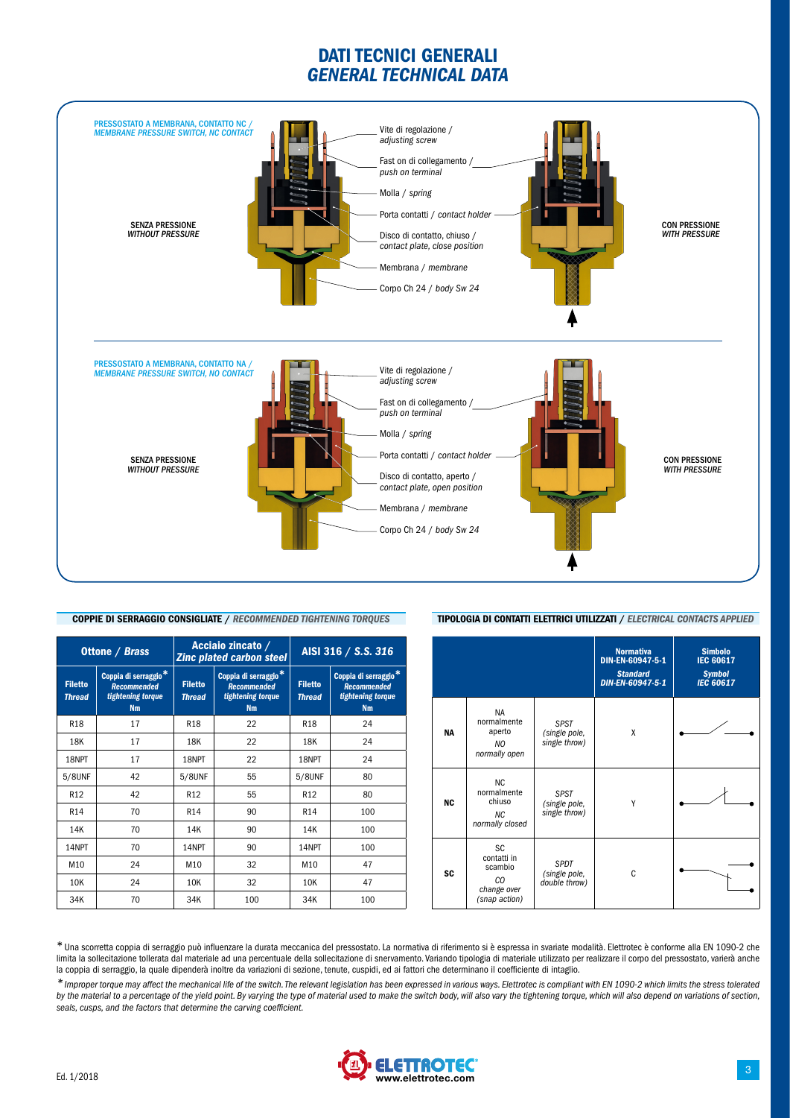### DATI TECNICI GENERALI *GENERAL TECHNICAL DATA*



### COPPIE DI SERRAGGIO CONSIGLIATE / *RECOMMENDED TIGHTENING TORQUES*

|                                 | <b>Ottone / Brass</b>                                                                    |                                 | Acciaio zincato /<br><b>Zinc plated carbon steel</b> | AISI 316 / S.S. 316                                                                      |     |  |  |  |
|---------------------------------|------------------------------------------------------------------------------------------|---------------------------------|------------------------------------------------------|------------------------------------------------------------------------------------------|-----|--|--|--|
| <b>Filetto</b><br><b>Thread</b> | Coppia di serraggio <sup>*</sup><br><b>Recommended</b><br>tightening torque<br><b>Nm</b> | <b>Filetto</b><br><b>Thread</b> | <b>Filetto</b><br><b>Thread</b>                      | Coppia di serraggio <sup>*</sup><br><b>Recommended</b><br>tightening torque<br><b>Nm</b> |     |  |  |  |
| <b>R18</b>                      | 17                                                                                       | R <sub>18</sub>                 | 22                                                   | R <sub>18</sub>                                                                          | 24  |  |  |  |
| 18K                             | 17                                                                                       | 18K                             | 22                                                   | 18K                                                                                      | 24  |  |  |  |
| 18NPT                           | 17                                                                                       | 18NPT                           | 22                                                   | 18NPT                                                                                    | 24  |  |  |  |
| 5/8UNF                          | 42                                                                                       | 5/8UNF                          | 55                                                   | 5/8UNF                                                                                   | 80  |  |  |  |
| R <sub>12</sub>                 | 42                                                                                       | R <sub>12</sub>                 | 55                                                   | R <sub>12</sub>                                                                          | 80  |  |  |  |
| R <sub>14</sub>                 | 70                                                                                       | R <sub>14</sub>                 | 90                                                   | R <sub>14</sub>                                                                          | 100 |  |  |  |
| 14K                             | 70                                                                                       | 14K                             | 90                                                   | 14K                                                                                      | 100 |  |  |  |
| 14NPT                           | 70                                                                                       | 14NPT                           | 90                                                   | 14NPT                                                                                    | 100 |  |  |  |
| M10                             | 24                                                                                       | M10                             | 32                                                   | M <sub>10</sub>                                                                          | 47  |  |  |  |
| 10K                             | 24                                                                                       | 10K                             | 32                                                   | 10K                                                                                      | 47  |  |  |  |
| 34K                             | 70                                                                                       | 34K                             | 100                                                  | 34K                                                                                      | 100 |  |  |  |

#### Normativa DIN-EN-60947-5-1 *Standard DIN-EN-60947-5-1* Simbolo IEC 60617 *Symbol IEC 60617* NA NA normalmente aperto *NO normally open SPST (single pole, single throw)* X NC NC normalmente chiuso  $M<sup>C</sup>$ *normally closed SPST (single pole, single throw)* Y SC SC contatti in scambio *CO change over (snap action) SPDT (single pole, double throw)* C

TIPOLOGIA DI CONTATTI ELETTRICI UTILIZZATI / *ELECTRICAL CONTACTS APPLIED*

\*Una scorretta coppia di serraggio può influenzare la durata meccanica del pressostato. La normativa di riferimento si è espressa in svariate modalità. Elettrotec è conforme alla EN 1090-2 che limita la sollecitazione tollerata dal materiale ad una percentuale della sollecitazione di snervamento. Variando tipologia di materiale utilizzato per realizzare il corpo del pressostato, varierà anche la coppia di serraggio, la quale dipenderà inoltre da variazioni di sezione, tenute, cuspidi, ed ai fattori che determinano il coefficiente di intaglio.

*\*Improper torque may affect the mechanical life of the switch. The relevant legislation has been expressed in various ways. Elettrotec is compliant with EN 1090-2 which limits the stress tolerated by the material to a percentage of the yield point. By varying the type of material used to make the switch body, will also vary the tightening torque, which will also depend on variations of section, seals, cusps, and the factors that determine the carving coefficient.*